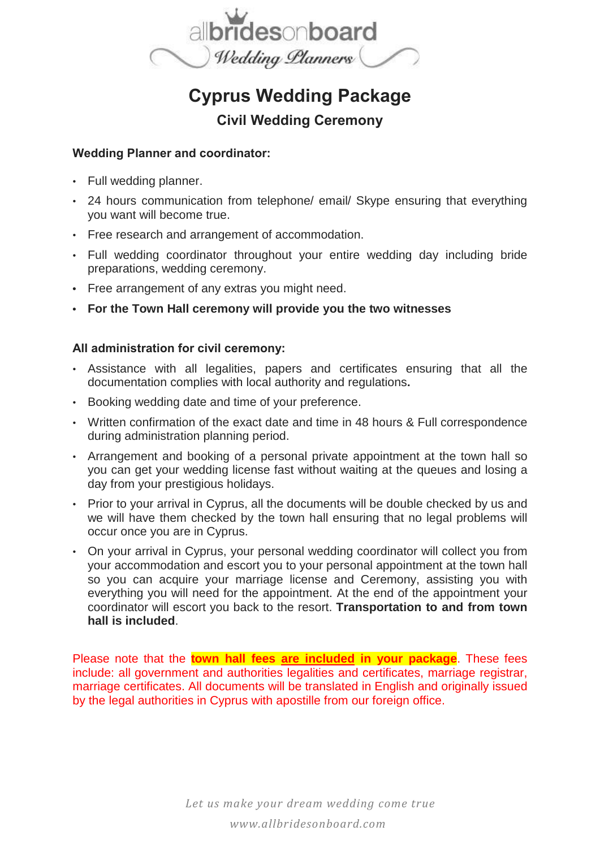

# **Cyprus Wedding Package**

## **Civil Wedding Ceremony**

### **Wedding Planner and coordinator:**

- Full wedding planner.
- 24 hours communication from telephone/ email/ Skype ensuring that everything you want will become true.
- Free research and arrangement of accommodation.
- Full wedding coordinator throughout your entire wedding day including bride preparations, wedding ceremony.
- **•** Free arrangement of any extras you might need.
- **• For the Town Hall ceremony will provide you the two witnesses**

#### **All administration for civil ceremony:**

- Assistance with all legalities, papers and certificates ensuring that all the documentation complies with local authority and regulations**.**
- Booking wedding date and time of your preference.
- Written confirmation of the exact date and time in 48 hours & Full correspondence during administration planning period.
- Arrangement and booking of a personal private appointment at the town hall so you can get your wedding license fast without waiting at the queues and losing a day from your prestigious holidays.
- Prior to your arrival in Cyprus, all the documents will be double checked by us and we will have them checked by the town hall ensuring that no legal problems will occur once you are in Cyprus.
- On your arrival in Cyprus, your personal wedding coordinator will collect you from your accommodation and escort you to your personal appointment at the town hall so you can acquire your marriage license and Ceremony, assisting you with everything you will need for the appointment. At the end of the appointment your coordinator will escort you back to the resort. **Transportation to and from town hall is included**.

Please note that the **town hall fees are included in your package**. These fees include: all government and authorities legalities and certificates, marriage registrar, marriage certificates. All documents will be translated in English and originally issued by the legal authorities in Cyprus with apostille from our foreign office.